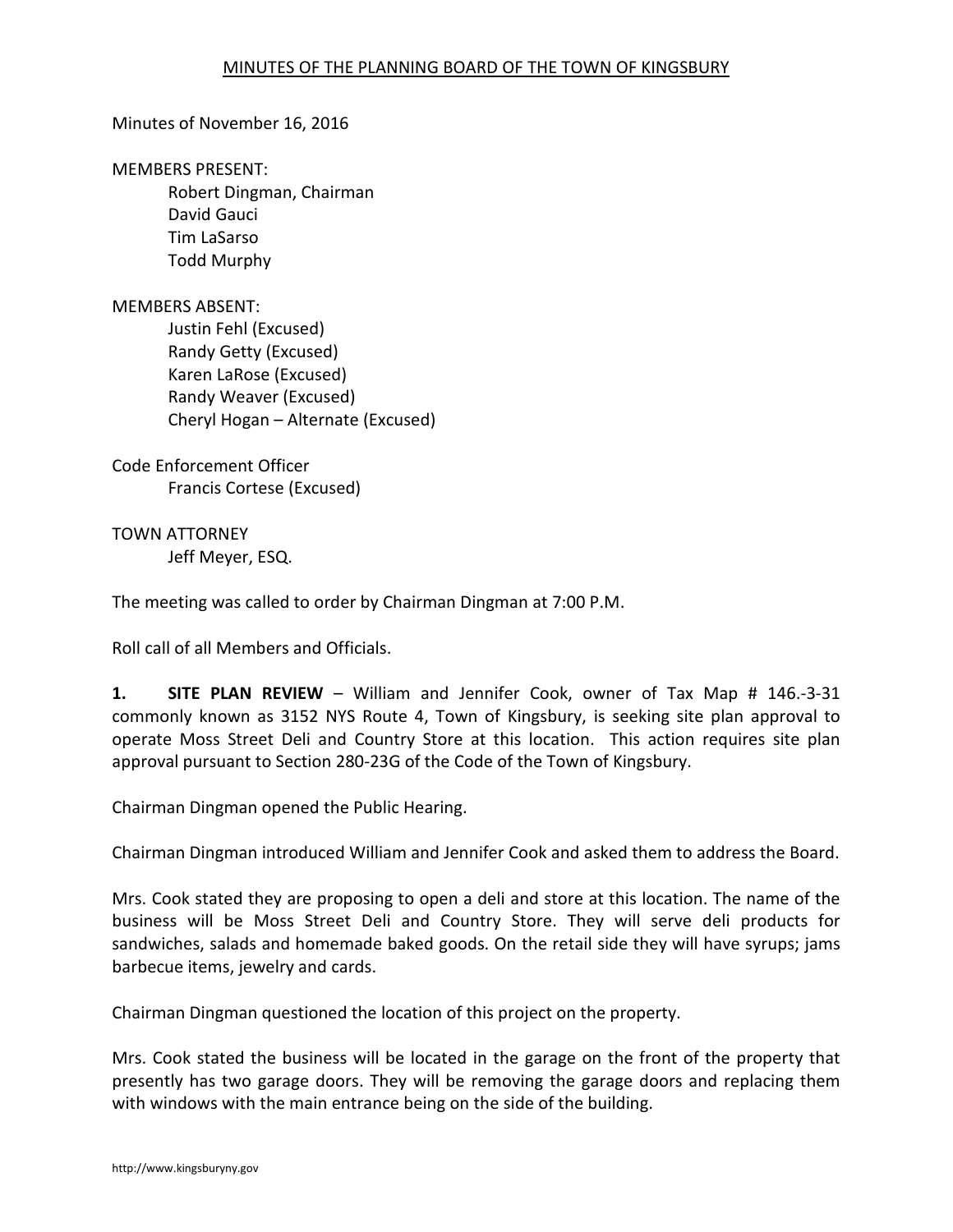# Minutes of November 16, 2016

#### MEMBERS PRESENT:

Robert Dingman, Chairman David Gauci Tim LaSarso Todd Murphy

## MEMBERS ABSENT:

Justin Fehl (Excused) Randy Getty (Excused) Karen LaRose (Excused) Randy Weaver (Excused) Cheryl Hogan – Alternate (Excused)

Code Enforcement Officer Francis Cortese (Excused)

TOWN ATTORNEY Jeff Meyer, ESQ.

The meeting was called to order by Chairman Dingman at 7:00 P.M.

Roll call of all Members and Officials.

**1. SITE PLAN REVIEW** – William and Jennifer Cook, owner of Tax Map # 146.-3-31 commonly known as 3152 NYS Route 4, Town of Kingsbury, is seeking site plan approval to operate Moss Street Deli and Country Store at this location. This action requires site plan approval pursuant to Section 280-23G of the Code of the Town of Kingsbury.

Chairman Dingman opened the Public Hearing.

Chairman Dingman introduced William and Jennifer Cook and asked them to address the Board.

Mrs. Cook stated they are proposing to open a deli and store at this location. The name of the business will be Moss Street Deli and Country Store. They will serve deli products for sandwiches, salads and homemade baked goods. On the retail side they will have syrups; jams barbecue items, jewelry and cards.

Chairman Dingman questioned the location of this project on the property.

Mrs. Cook stated the business will be located in the garage on the front of the property that presently has two garage doors. They will be removing the garage doors and replacing them with windows with the main entrance being on the side of the building.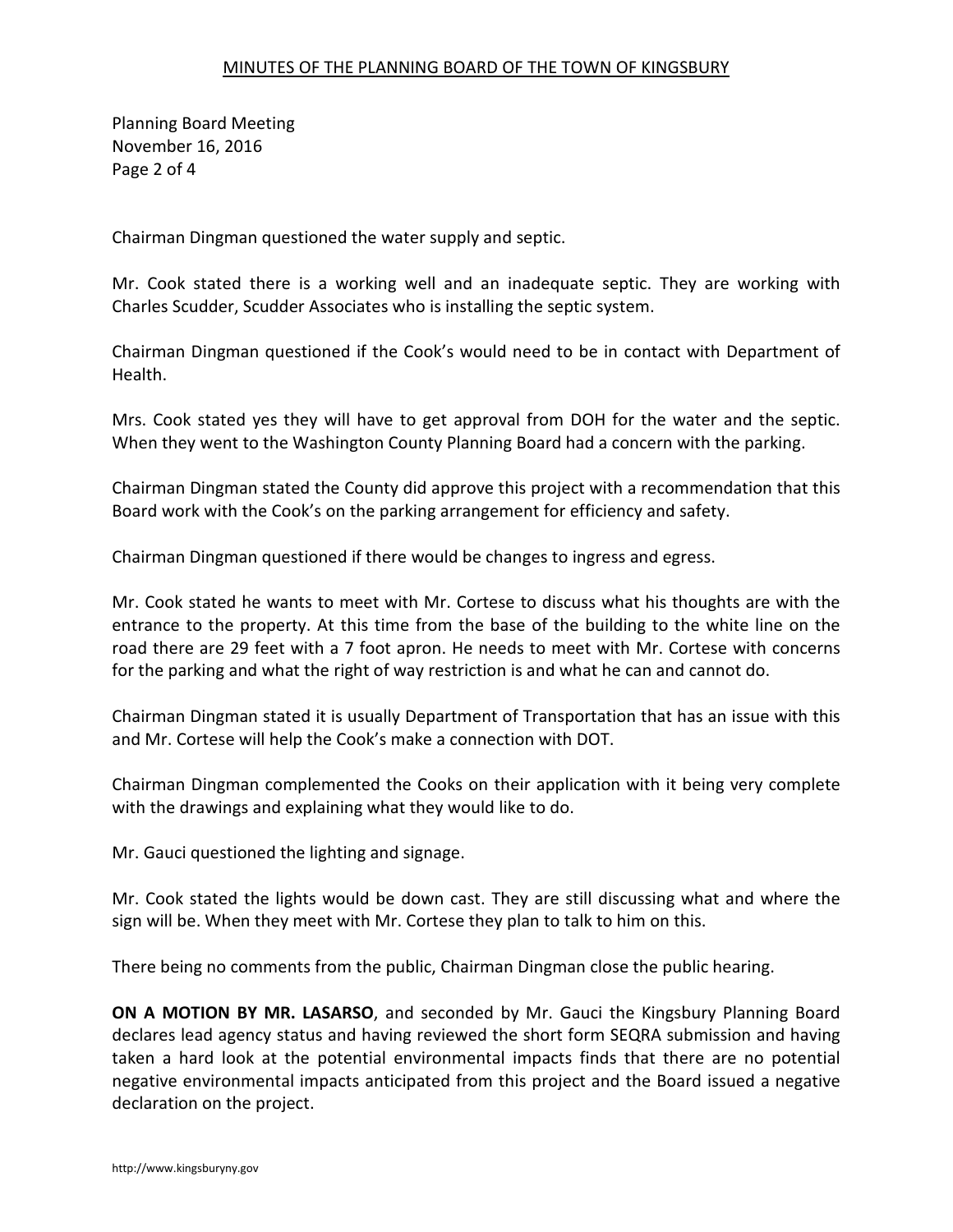# MINUTES OF THE PLANNING BOARD OF THE TOWN OF KINGSBURY

Planning Board Meeting November 16, 2016 Page 2 of 4

Chairman Dingman questioned the water supply and septic.

Mr. Cook stated there is a working well and an inadequate septic. They are working with Charles Scudder, Scudder Associates who is installing the septic system.

Chairman Dingman questioned if the Cook's would need to be in contact with Department of Health.

Mrs. Cook stated yes they will have to get approval from DOH for the water and the septic. When they went to the Washington County Planning Board had a concern with the parking.

Chairman Dingman stated the County did approve this project with a recommendation that this Board work with the Cook's on the parking arrangement for efficiency and safety.

Chairman Dingman questioned if there would be changes to ingress and egress.

Mr. Cook stated he wants to meet with Mr. Cortese to discuss what his thoughts are with the entrance to the property. At this time from the base of the building to the white line on the road there are 29 feet with a 7 foot apron. He needs to meet with Mr. Cortese with concerns for the parking and what the right of way restriction is and what he can and cannot do.

Chairman Dingman stated it is usually Department of Transportation that has an issue with this and Mr. Cortese will help the Cook's make a connection with DOT.

Chairman Dingman complemented the Cooks on their application with it being very complete with the drawings and explaining what they would like to do.

Mr. Gauci questioned the lighting and signage.

Mr. Cook stated the lights would be down cast. They are still discussing what and where the sign will be. When they meet with Mr. Cortese they plan to talk to him on this.

There being no comments from the public, Chairman Dingman close the public hearing.

**ON A MOTION BY MR. LASARSO**, and seconded by Mr. Gauci the Kingsbury Planning Board declares lead agency status and having reviewed the short form SEQRA submission and having taken a hard look at the potential environmental impacts finds that there are no potential negative environmental impacts anticipated from this project and the Board issued a negative declaration on the project.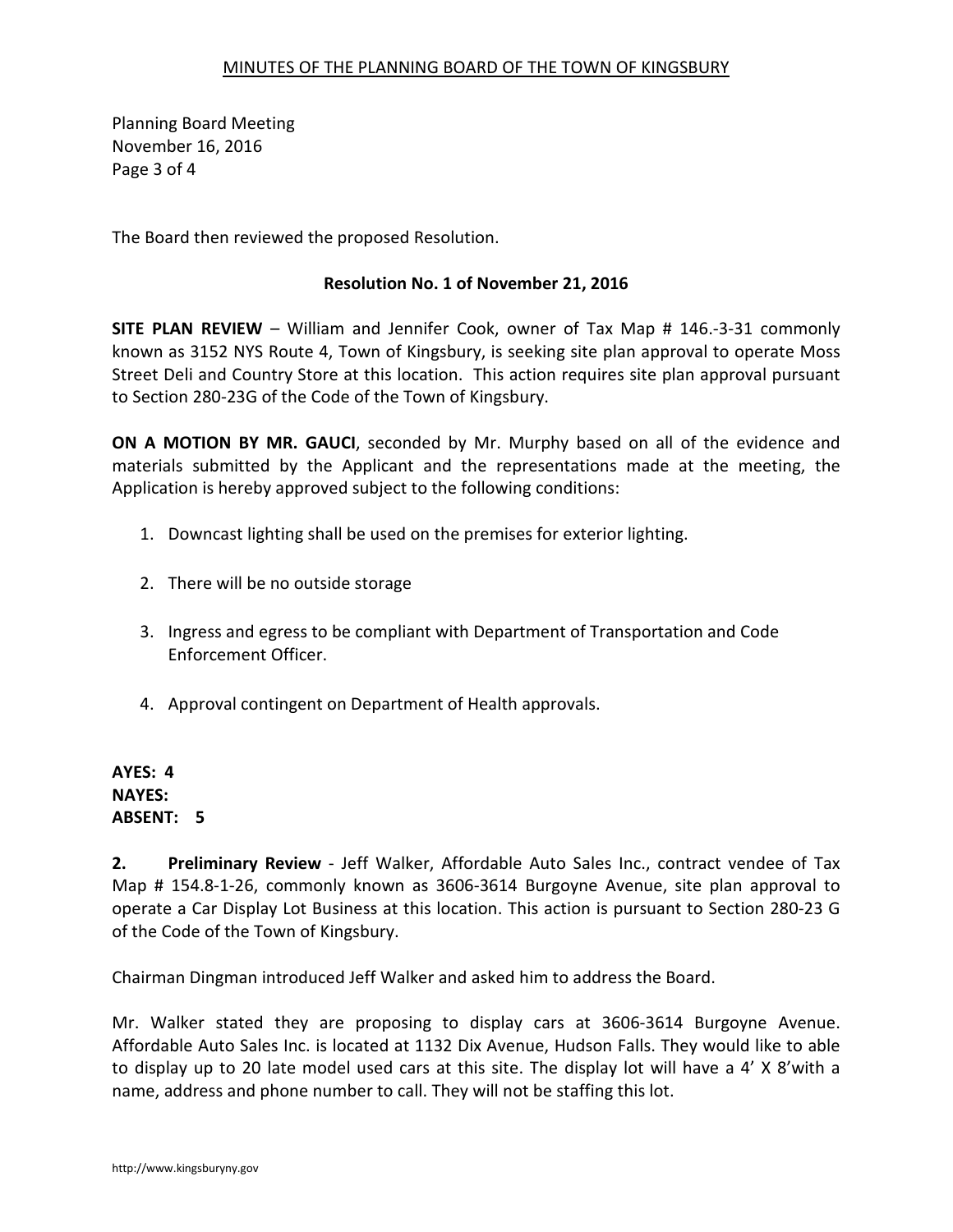Planning Board Meeting November 16, 2016 Page 3 of 4

The Board then reviewed the proposed Resolution.

# **Resolution No. 1 of November 21, 2016**

**SITE PLAN REVIEW** – William and Jennifer Cook, owner of Tax Map # 146.-3-31 commonly known as 3152 NYS Route 4, Town of Kingsbury, is seeking site plan approval to operate Moss Street Deli and Country Store at this location. This action requires site plan approval pursuant to Section 280-23G of the Code of the Town of Kingsbury.

**ON A MOTION BY MR. GAUCI**, seconded by Mr. Murphy based on all of the evidence and materials submitted by the Applicant and the representations made at the meeting, the Application is hereby approved subject to the following conditions:

- 1. Downcast lighting shall be used on the premises for exterior lighting.
- 2. There will be no outside storage
- 3. Ingress and egress to be compliant with Department of Transportation and Code Enforcement Officer.
- 4. Approval contingent on Department of Health approvals.

**AYES: 4 NAYES: ABSENT: 5**

**2. Preliminary Review** - Jeff Walker, Affordable Auto Sales Inc., contract vendee of Tax Map # 154.8-1-26, commonly known as 3606-3614 Burgoyne Avenue, site plan approval to operate a Car Display Lot Business at this location. This action is pursuant to Section 280-23 G of the Code of the Town of Kingsbury.

Chairman Dingman introduced Jeff Walker and asked him to address the Board.

Mr. Walker stated they are proposing to display cars at 3606-3614 Burgoyne Avenue. Affordable Auto Sales Inc. is located at 1132 Dix Avenue, Hudson Falls. They would like to able to display up to 20 late model used cars at this site. The display lot will have a 4' X 8'with a name, address and phone number to call. They will not be staffing this lot.